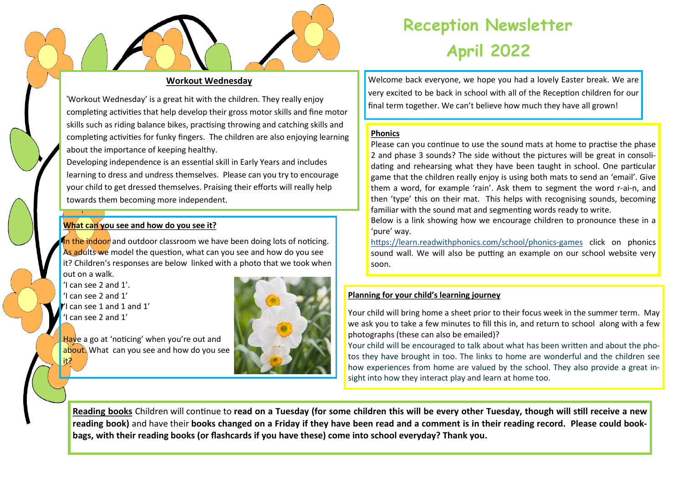

# **Reception Newsletter April 2022**

## **Workout Wednesday**

'Workout Wednesday' is a great hit with the children. They really enjoy completing activities that help develop their gross motor skills and fine motor skills such as riding balance bikes, practising throwing and catching skills and completing activities for funky fingers. The children are also enjoying learning about the importance of keeping healthy.

Developing independence is an essential skill in Early Years and includes learning to dress and undress themselves. Please can you try to encourage your child to get dressed themselves. Praising their efforts will really help towards them becoming more independent.

### **What can you see and how do you see it?**

In the indoor and outdoor classroom we have been doing lots of noticing. As adults we model the question, what can you see and how do you see it? Children's responses are below linked with a photo that we took when out on a walk.

'I can see 2 and 1'. 'I can see 2 and 1'  $'$ I can see 1 and 1 and 1' 'I can see 2 and 1'

it?



Have a go at 'noticing' when you're out and about. What can you see and how do you see

Welcome back everyone, we hope you had a lovely Easter break. We are very excited to be back in school with all of the Reception children for our final term together. We can't believe how much they have all grown!

## **Phonics**

Please can you continue to use the sound mats at home to practise the phase 2 and phase 3 sounds? The side without the pictures will be great in consolidating and rehearsing what they have been taught in school. One particular game that the children really enjoy is using both mats to send an 'email'. Give them a word, for example 'rain'. Ask them to segment the word r-ai-n, and then 'type' this on their mat. This helps with recognising sounds, becoming familiar with the sound mat and segmenting words ready to write.

Below is a link showing how we encourage children to pronounce these in a 'pure' way.

[https://learn.readwithphonics.com/school/phonics](https://learn.readwithphonics.com/school/phonics-games)-games click on phonics sound wall. We will also be putting an example on our school website very soon.

## **Planning for your child's learning journey**

Your child will bring home a sheet prior to their focus week in the summer term. May we ask you to take a few minutes to fill this in, and return to school along with a few photographs (these can also be emailed)?

Your child will be encouraged to talk about what has been written and about the photos they have brought in too. The links to home are wonderful and the children see how experiences from home are valued by the school. They also provide a great insight into how they interact play and learn at home too.

**Reading books** Children will continue to **read on a Tuesday (for some children this will be every other Tuesday, though will still receive a new reading book)** and have their **books changed on a Friday if they have been read and a comment is in their reading record. Please could bookbags, with their reading books (or flashcards if you have these) come into school everyday? Thank you.**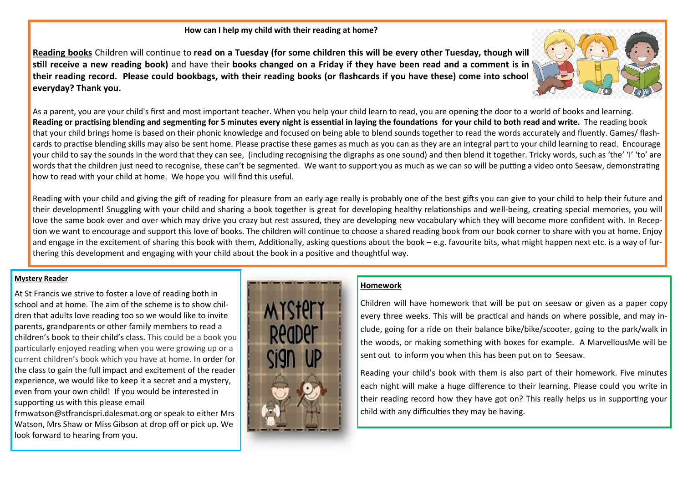#### **How can I help my child with their reading at home?**

**Reading books** Children will continue to **read on a Tuesday (for some children this will be every other Tuesday, though will still receive a new reading book)** and have their **books changed on a Friday if they have been read and a comment is in their reading record. Please could bookbags, with their reading books (or flashcards if you have these) come into school everyday? Thank you.** 



As a parent, you are your child's first and most important teacher. When you help your child learn to read, you are opening the door to a world of books and learning. **Reading or practising blending and segmenting for 5 minutes every night is essential in laying the foundations for your child to both read and write.** The reading book that your child brings home is based on their phonic knowledge and focused on being able to blend sounds together to read the words accurately and fluently. Games/ flashcards to practise blending skills may also be sent home. Please practise these games as much as you can as they are an integral part to your child learning to read. Encourage your child to say the sounds in the word that they can see, (including recognising the digraphs as one sound) and then blend it together. Tricky words, such as 'the' 'I' 'to' are words that the children just need to recognise, these can't be segmented. We want to support you as much as we can so will be putting a video onto Seesaw, demonstrating how to read with your child at home. We hope you will find this useful.

Reading with your child and giving the gift of reading for pleasure from an early age really is probably one of the best gifts you can give to your child to help their future and their development! Snuggling with your child and sharing a book together is great for developing healthy relationships and well-being, creating special memories, you will love the same book over and over which may drive you crazy but rest assured, they are developing new vocabulary which they will become more confident with. In Reception we want to encourage and support this love of books. The children will continue to choose a shared reading book from our book corner to share with you at home. Enjoy and engage in the excitement of sharing this book with them, Additionally, asking questions about the book – e.g. favourite bits, what might happen next etc. is a way of furthering this development and engaging with your child about the book in a positive and thoughtful way.

## **Mystery Reader**

At St Francis we strive to foster a love of reading both in school and at home. The aim of the scheme is to show children that adults love reading too so we would like to invite parents, grandparents or other family members to read a children's book to their child's class. This could be a book you particularly enjoyed reading when you were growing up or a current children's book which you have at home. In order for the class to gain the full impact and excitement of the reader experience, we would like to keep it a secret and a mystery, even from your own child! If you would be interested in supporting us with this please email

frmwatson@stfrancispri.dalesmat.org or speak to either Mrs Watson, Mrs Shaw or Miss Gibson at drop off or pick up. We look forward to hearing from you.



## **Homework**

Children will have homework that will be put on seesaw or given as a paper copy every three weeks. This will be practical and hands on where possible, and may include, going for a ride on their balance bike/bike/scooter, going to the park/walk in the woods, or making something with boxes for example. A MarvellousMe will be sent out to inform you when this has been put on to Seesaw.

Reading your child's book with them is also part of their homework. Five minutes each night will make a huge difference to their learning. Please could you write in their reading record how they have got on? This really helps us in supporting your child with any difficulties they may be having.